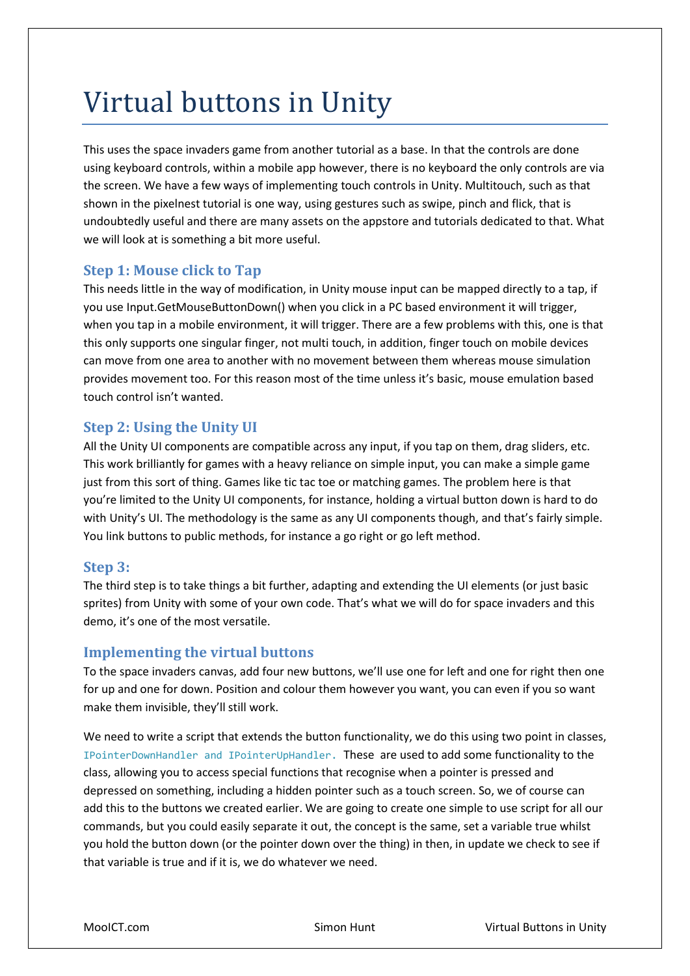# Virtual buttons in Unity

This uses the space invaders game from another tutorial as a base. In that the controls are done using keyboard controls, within a mobile app however, there is no keyboard the only controls are via the screen. We have a few ways of implementing touch controls in Unity. Multitouch, such as that shown in the pixelnest tutorial is one way, using gestures such as swipe, pinch and flick, that is undoubtedly useful and there are many assets on the appstore and tutorials dedicated to that. What we will look at is something a bit more useful.

# **Step 1: Mouse click to Tap**

This needs little in the way of modification, in Unity mouse input can be mapped directly to a tap, if you use Input.GetMouseButtonDown() when you click in a PC based environment it will trigger, when you tap in a mobile environment, it will trigger. There are a few problems with this, one is that this only supports one singular finger, not multi touch, in addition, finger touch on mobile devices can move from one area to another with no movement between them whereas mouse simulation provides movement too. For this reason most of the time unless it's basic, mouse emulation based touch control isn't wanted.

# **Step 2: Using the Unity UI**

All the Unity UI components are compatible across any input, if you tap on them, drag sliders, etc. This work brilliantly for games with a heavy reliance on simple input, you can make a simple game just from this sort of thing. Games like tic tac toe or matching games. The problem here is that you're limited to the Unity UI components, for instance, holding a virtual button down is hard to do with Unity's UI. The methodology is the same as any UI components though, and that's fairly simple. You link buttons to public methods, for instance a go right or go left method.

### **Step 3:**

The third step is to take things a bit further, adapting and extending the UI elements (or just basic sprites) from Unity with some of your own code. That's what we will do for space invaders and this demo, it's one of the most versatile.

### **Implementing the virtual buttons**

To the space invaders canvas, add four new buttons, we'll use one for left and one for right then one for up and one for down. Position and colour them however you want, you can even if you so want make them invisible, they'll still work.

We need to write a script that extends the button functionality, we do this using two point in classes, IPointerDownHandler and IPointerUpHandler. These are used to add some functionality to the class, allowing you to access special functions that recognise when a pointer is pressed and depressed on something, including a hidden pointer such as a touch screen. So, we of course can add this to the buttons we created earlier. We are going to create one simple to use script for all our commands, but you could easily separate it out, the concept is the same, set a variable true whilst you hold the button down (or the pointer down over the thing) in then, in update we check to see if that variable is true and if it is, we do whatever we need.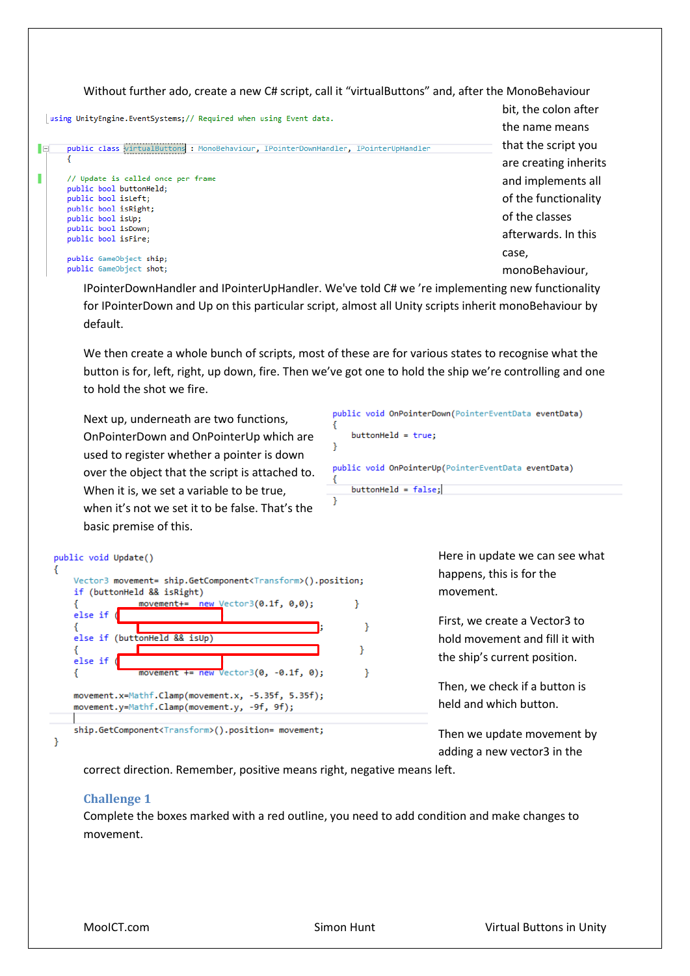Without further ado, create a new C# script, call it "virtualButtons" and, after the MonoBehaviour bit, the colon after | using UnityEngine.EventSystems;// Required when using Event data. the name means that the script you public class virtualButtons : MonoBehaviour, IPointerDownHandler, IPointerUpHandler Iei are creating inherits Г // Update is called once per frame and implements all public bool buttonHeld; public bool isLeft; of the functionality public bool isRight; of the classes public bool isUp; public bool isDown; afterwards. In this public bool isFire; case, public GameObiect ship: public GameObject shot; monoBehaviour,

IPointerDownHandler and IPointerUpHandler. We've told C# we 're implementing new functionality for IPointerDown and Up on this particular script, almost all Unity scripts inherit monoBehaviour by default.

We then create a whole bunch of scripts, most of these are for various states to recognise what the button is for, left, right, up down, fire. Then we've got one to hold the ship we're controlling and one to hold the shot we fire.

Ï

Þ

 $\mathcal{F}$ 

ł

 $\mathcal{P}$ 

Next up, underneath are two functions, OnPointerDown and OnPointerUp which are used to register whether a pointer is down over the object that the script is attached to. When it is, we set a variable to be true, when it's not we set it to be false. That's the basic premise of this.

Vector3 movement= ship.GetComponent<Transform>().position;

movement+= new Vector3( $0.1f$ ,  $0.0$ );

movement += new Vector3(0, -0.1f, 0);

movement.x=Mathf.Clamp(movement.x, -5.35f, 5.35f); movement.y=Mathf.Clamp(movement.y, -9f, 9f);

ship.GetComponent<Transform>().position= movement;

public void OnPointerDown(PointerEventData eventData) ł  $buttonHello = true:$  $\mathbf{r}$ public void OnPointerUp(PointerEventData eventData) Ł

 $buttonHello = false;$ 

Here in update we can see what happens, this is for the movement.

First, we create a Vector3 to hold movement and fill it with the ship's current position.

Then, we check if a button is held and which button.

Then we update movement by adding a new vector3 in the

correct direction. Remember, positive means right, negative means left.

#### **Challenge 1**

public void Update()

 $else if ($ 

else if  $($ 

₹

ł

₹

3

if (buttonHeld && isRight)

else if (buttonHeld && isUp)

Complete the boxes marked with a red outline, you need to add condition and make changes to movement.